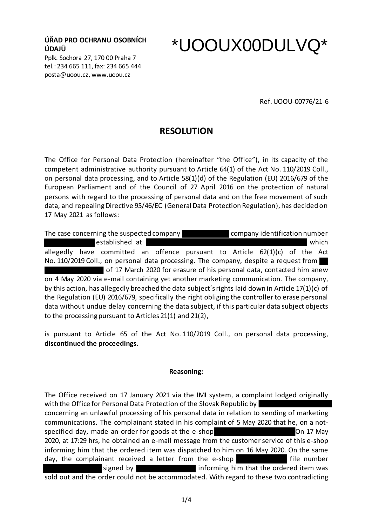**ÚŘAD PRO OCHRANU OSOBNÍCH ÚDAJŮ**

Pplk. Sochora 27, 170 00 Praha 7 tel.: 234 665 111, fax: 234 665 444 posta@uoou.cz, www.uoou.cz

## \*UOOUX00DULVQ\*

Ref. UOOU-00776/21-6

## **RESOLUTION**

The Office for Personal Data Protection (hereinafter "the Office"), in its capacity of the competent administrative authority pursuant to Article 64(1) of the Act No. 110/2019 Coll., on personal data processing, and to Article 58(1)(d) of the Regulation (EU) 2016/679 of the European Parliament and of the Council of 27 April 2016 on the protection of natural persons with regard to the processing of personal data and on the free movement of such data, and repealing Directive 95/46/EC (General Data Protection Regulation), has decided on 17 May 2021 as follows:

The case concerning the suspected company company company identification number established at which which which which which which which which which which which which which  $w = w + w + w$ allegedly have committed an offence pursuant to Article 62(1)(c) of the Act No. 110/2019 Coll., on personal data processing. The company, despite a request from of 17 March 2020 for erasure of his personal data, contacted him anew on 4 May 2020 via e-mail containing yet another marketing communication. The company, by this action, has allegedly breached the data subject´s rights laid down in Article 17(1)(c) of the Regulation (EU) 2016/679, specifically the right obliging the controller to erase personal data without undue delay concerning the data subject, if this particular data subject objects to the processing pursuant to Articles 21(1) and 21(2),

is pursuant to Article 65 of the Act No. 110/2019 Coll., on personal data processing, **discontinued the proceedings.** 

## **Reasoning:**

The Office received on 17 January 2021 via the IMI system, a complaint lodged originally with the Office for Personal Data Protection of the Slovak Republic by concerning an unlawful processing of his personal data in relation to sending of marketing communications. The complainant stated in his complaint of 5 May 2020 that he, on a notspecified day, made an order for goods at the e-shop Theorem Community On 17 May 2020, at 17:29 hrs, he obtained an e-mail message from the customer service of this e-shop informing him that the ordered item was dispatched to him on 16 May 2020. On the same day, the complainant received a letter from the e-shop **film that** file number signed by informing him that the ordered item was sold out and the order could not be accommodated. With regard to these two contradicting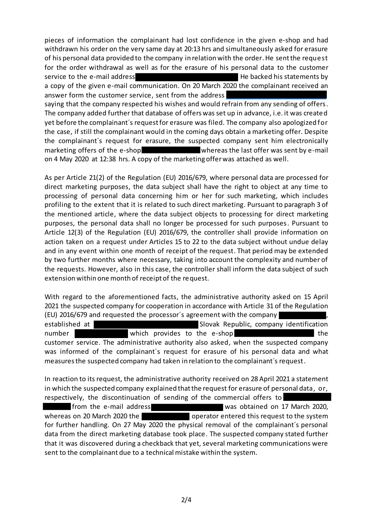pieces of information the complainant had lost confidence in the given e-shop and had withdrawn his order on the very same day at 20:13 hrs and simultaneously asked for erasure of his personal data provided to the company in relation with the order. He sent the request for the order withdrawal as well as for the erasure of his personal data to the customer service to the e-mail address **He backed his statements by** He backed his statements by a copy of the given e-mail communication. On 20 March 2020 the complainant received an answer form the customer service, sent from the address saying that the company respected his wishes and would refrain from any sending of offers. The company added further that database of offers was set up in advance, i.e. it was created yet before the complainant´s request for erasure was filed. The company also apologized for the case, if still the complainant would in the coming days obtain a marketing offer. Despite the complainant´s request for erasure, the suspected company sent him electronically marketing offers of the e-shop whereas the last offer was sent by e-mail on 4 May 2020 at 12:38 hrs. A copy of the marketing offer was attached as well.

As per Article 21(2) of the Regulation (EU) 2016/679, where personal data are processed for direct marketing purposes, the data subject shall have the right to object at any time to processing of personal data concerning him or her for such marketing, which includes profiling to the extent that it is related to such direct marketing. Pursuant to paragraph 3 of the mentioned article, where the data subject objects to processing for direct marketing purposes, the personal data shall no longer be processed for such purposes. Pursuant to Article 12(3) of the Regulation (EU) 2016/679, the controller shall provide information on action taken on a request under Articles 15 to 22 to the data subject without undue delay and in any event within one month of receipt of the request. That period may be extended by two further months where necessary, taking into account the complexity and number of the requests. However, also in this case, the controller shall inform the data subject of such extension within one month of receipt of the request.

With regard to the aforementioned facts, the administrative authority asked on 15 April 2021 the suspected company for cooperation in accordance with Article 31 of the Regulation (EU) 2016/679 and requested the processor´s agreement with the company , established at New Slovak Republic, company identification number which provides to the e-shop when the customer service. The administrative authority also asked, when the suspected company was informed of the complainant´s request for erasure of his personal data and what measures the suspected company had taken in relation to the complainant´s request.

In reaction to its request, the administrative authority received on 28 April 2021 a statement in which the suspected company explained that the request for erasure of personal data, or, respectively, the discontinuation of sending of the commercial offers to from the e-mail address was obtained on 17 March 2020, whereas on 20 March 2020 the operator entered this request to the system for further handling. On 27 May 2020 the physical removal of the complainant´s personal data from the direct marketing database took place. The suspected company stated further that it was discovered during a checkback that yet, several marketing communications were sent to the complainant due to a technical mistake within the system.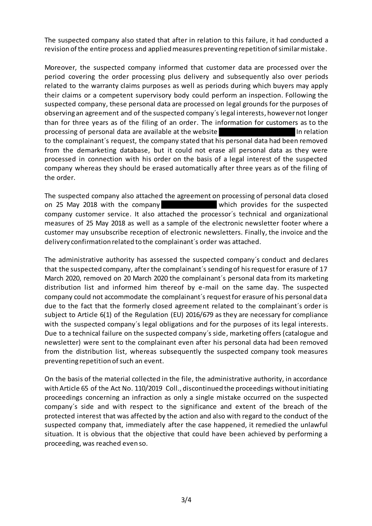The suspected company also stated that after in relation to this failure, it had conducted a revision of the entire process and applied measures preventing repetition of similar mistake.

Moreover, the suspected company informed that customer data are processed over the period covering the order processing plus delivery and subsequently also over periods related to the warranty claims purposes as well as periods during which buyers may apply their claims or a competent supervisory body could perform an inspection. Following the suspected company, these personal data are processed on legal grounds for the purposes of observing an agreement and of the suspected company´s legal interests, however not longer than for three years as of the filing of an order. The information for customers as to the processing of personal data are available at the website **In relation** In relation to the complainant´s request, the company stated that his personal data had been removed from the demarketing database, but it could not erase all personal data as they were processed in connection with his order on the basis of a legal interest of the suspected company whereas they should be erased automatically after three years as of the filing of the order.

The suspected company also attached the agreement on processing of personal data closed on 25 May 2018 with the company which provides for the suspected company customer service. It also attached the processor´s technical and organizational measures of 25 May 2018 as well as a sample of the electronic newsletter footer where a customer may unsubscribe reception of electronic newsletters. Finally, the invoice and the delivery confirmation related to the complainant´s order was attached.

The administrative authority has assessed the suspected company´s conduct and declares that the suspected company, after the complainant´s sending of his request for erasure of 17 March 2020, removed on 20 March 2020 the complainant´s personal data from its marketing distribution list and informed him thereof by e-mail on the same day. The suspected company could not accommodate the complainant´s request for erasure of his personal data due to the fact that the formerly closed agreement related to the complainant´s order is subject to Article 6(1) of the Regulation (EU) 2016/679 as they are necessary for compliance with the suspected company´s legal obligations and for the purposes of its legal interests. Due to a technical failure on the suspected company´s side, marketing offers (catalogue and newsletter) were sent to the complainant even after his personal data had been removed from the distribution list, whereas subsequently the suspected company took measures preventing repetition of such an event.

On the basis of the material collected in the file, the administrative authority, in accordance with Article 65 of the Act No. 110/2019 Coll., discontinued the proceedings without initiating proceedings concerning an infraction as only a single mistake occurred on the suspected company´s side and with respect to the significance and extent of the breach of the protected interest that was affected by the action and also with regard to the conduct of the suspected company that, immediately after the case happened, it remedied the unlawful situation. It is obvious that the objective that could have been achieved by performing a proceeding, was reached even so.